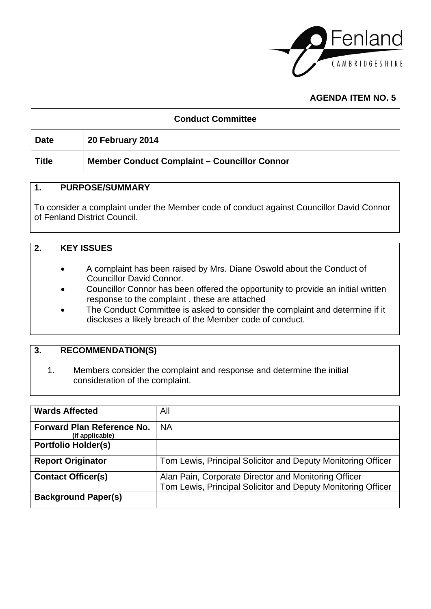

٦

|                          | <b>AGENDA ITEM NO. 5</b>                            |  |
|--------------------------|-----------------------------------------------------|--|
| <b>Conduct Committee</b> |                                                     |  |
| <b>Date</b>              | 20 February 2014                                    |  |
| <b>Title</b>             | <b>Member Conduct Complaint - Councillor Connor</b> |  |

### **1. PURPOSE/SUMMARY**

To consider a complaint under the Member code of conduct against Councillor David Connor of Fenland District Council.

### **2. KEY ISSUES**

 $\Gamma$ 

- A complaint has been raised by Mrs. Diane Oswold about the Conduct of Councillor David Connor.
- Councillor Connor has been offered the opportunity to provide an initial written response to the complaint , these are attached
- The Conduct Committee is asked to consider the complaint and determine if it discloses a likely breach of the Member code of conduct.

### **3. RECOMMENDATION(S)**

1. Members consider the complaint and response and determine the initial consideration of the complaint.

| <b>Wards Affected</b>                                | All                                                          |
|------------------------------------------------------|--------------------------------------------------------------|
| <b>Forward Plan Reference No.</b><br>(if applicable) | <b>NA</b>                                                    |
| <b>Portfolio Holder(s)</b>                           |                                                              |
| <b>Report Originator</b>                             | Tom Lewis, Principal Solicitor and Deputy Monitoring Officer |
| <b>Contact Officer(s)</b>                            | Alan Pain, Corporate Director and Monitoring Officer         |
|                                                      | Tom Lewis, Principal Solicitor and Deputy Monitoring Officer |
| <b>Background Paper(s)</b>                           |                                                              |